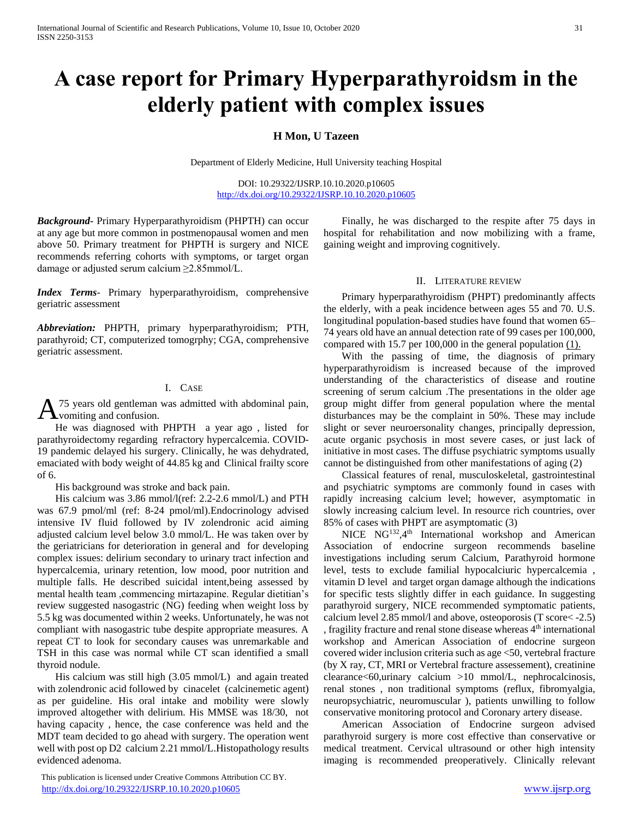# **A case report for Primary Hyperparathyroidsm in the elderly patient with complex issues**

## **H Mon, U Tazeen**

Department of Elderly Medicine, Hull University teaching Hospital

DOI: 10.29322/IJSRP.10.10.2020.p10605 <http://dx.doi.org/10.29322/IJSRP.10.10.2020.p10605>

*Background***-** Primary Hyperparathyroidism (PHPTH) can occur at any age but more common in postmenopausal women and men above 50. Primary treatment for PHPTH is surgery and NICE recommends referring cohorts with symptoms, or target organ damage or adjusted serum calcium ≥2.85mmol/L.

*Index Terms*- Primary hyperparathyroidism, comprehensive geriatric assessment

*Abbreviation:* PHPTH, primary hyperparathyroidism; PTH, parathyroid; CT, computerized tomogrphy; CGA, comprehensive geriatric assessment.

## I. CASE

75 years old gentleman was admitted with abdominal pain,  $A<sub>15</sub>$  years old gentleman volumes and confusion.

 He was diagnosed with PHPTH a year ago , listed for parathyroidectomy regarding refractory hypercalcemia. COVID-19 pandemic delayed his surgery. Clinically, he was dehydrated, emaciated with body weight of 44.85 kg and Clinical frailty score of 6.

His background was stroke and back pain.

 His calcium was 3.86 mmol/l(ref: 2.2-2.6 mmol/L) and PTH was 67.9 pmol/ml (ref: 8-24 pmol/ml).Endocrinology advised intensive IV fluid followed by IV zolendronic acid aiming adjusted calcium level below 3.0 mmol/L. He was taken over by the geriatricians for deterioration in general and for developing complex issues: delirium secondary to urinary tract infection and hypercalcemia, urinary retention, low mood, poor nutrition and multiple falls. He described suicidal intent,being assessed by mental health team ,commencing mirtazapine. Regular dietitian's review suggested nasogastric (NG) feeding when weight loss by 5.5 kg was documented within 2 weeks. Unfortunately, he was not compliant with nasogastric tube despite appropriate measures. A repeat CT to look for secondary causes was unremarkable and TSH in this case was normal while CT scan identified a small thyroid nodule.

 His calcium was still high (3.05 mmol/L) and again treated with zolendronic acid followed by cinacelet (calcinemetic agent) as per guideline. His oral intake and mobility were slowly improved altogether with delirium. His MMSE was 18/30, not having capacity , hence, the case conference was held and the MDT team decided to go ahead with surgery. The operation went well with post op D2 calcium 2.21 mmol/L.Histopathology results evidenced adenoma.

 This publication is licensed under Creative Commons Attribution CC BY. <http://dx.doi.org/10.29322/IJSRP.10.10.2020.p10605> [www.ijsrp.org](http://ijsrp.org/)

 Finally, he was discharged to the respite after 75 days in hospital for rehabilitation and now mobilizing with a frame, gaining weight and improving cognitively.

### II. LITERATURE REVIEW

 Primary hyperparathyroidism (PHPT) predominantly affects the elderly, with a peak incidence between ages 55 and 70. U.S. longitudinal population-based studies have found that women 65– 74 years old have an annual detection rate of 99 cases per 100,000, compared with 15.7 per 100,000 in the general population  $(1)$ .

 With the passing of time, the diagnosis of primary hyperparathyroidism is increased because of the improved understanding of the characteristics of disease and routine screening of serum calcium .The presentations in the older age group might differ from general population where the mental disturbances may be the complaint in 50%. These may include slight or sever neuroersonality changes, principally depression, acute organic psychosis in most severe cases, or just lack of initiative in most cases. The diffuse psychiatric symptoms usually cannot be distinguished from other manifestations of aging (2)

 Classical features of renal, musculoskeletal, gastrointestinal and psychiatric symptoms are commonly found in cases with rapidly increasing calcium level; however, asymptomatic in slowly increasing calcium level. In resource rich countries, over 85% of cases with PHPT are asymptomatic (3)

NICE NG<sup>132</sup>,4<sup>th</sup> International workshop and American Association of endocrine surgeon recommends baseline investigations including serum Calcium, Parathyroid hormone level, tests to exclude familial hypocalciuric hypercalcemia , vitamin D level and target organ damage although the indications for specific tests slightly differ in each guidance. In suggesting parathyroid surgery, NICE recommended symptomatic patients, calcium level 2.85 mmol/l and above, osteoporosis (T score< -2.5) , fragility fracture and renal stone disease whereas  $4<sup>th</sup>$  international workshop and American Association of endocrine surgeon covered wider inclusion criteria such as age <50, vertebral fracture (by X ray, CT, MRI or Vertebral fracture assessement), creatinine clearance<60,urinary calcium >10 mmol/L, nephrocalcinosis, renal stones , non traditional symptoms (reflux, fibromyalgia, neuropsychiatric, neuromuscular ), patients unwilling to follow conservative monitoring protocol and Coronary artery disease.

 American Association of Endocrine surgeon advised parathyroid surgery is more cost effective than conservative or medical treatment. Cervical ultrasound or other high intensity imaging is recommended preoperatively. Clinically relevant